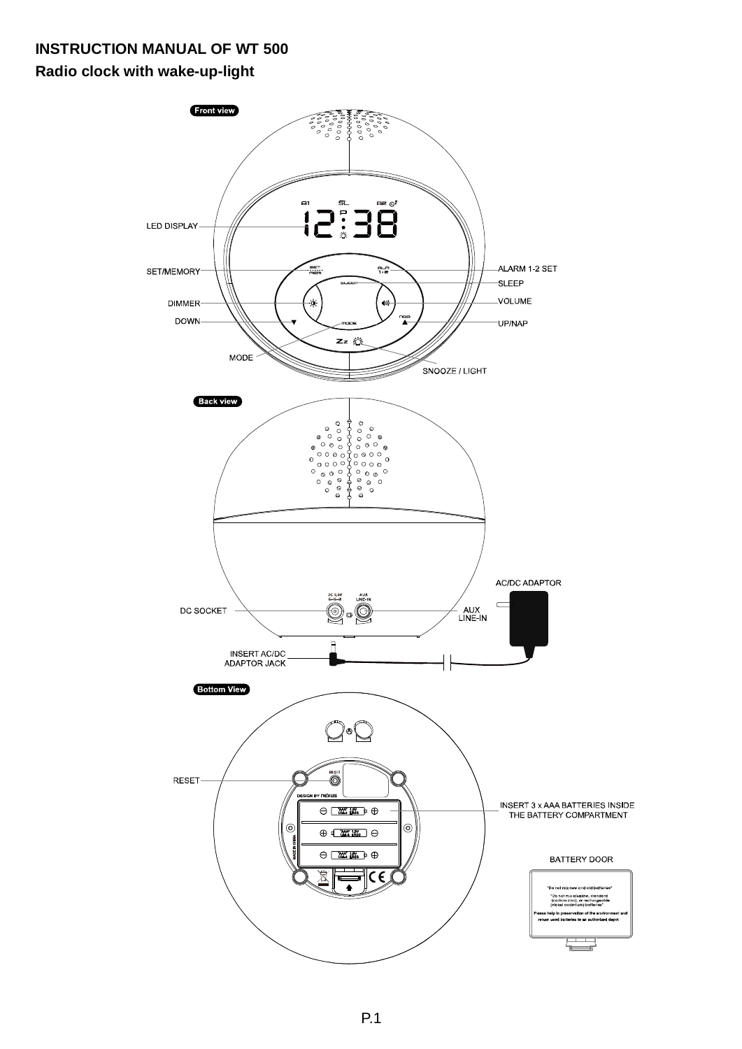# **INSTRUCTION MANUAL OF WT 500**

**Radio clock with wake-up-light** 

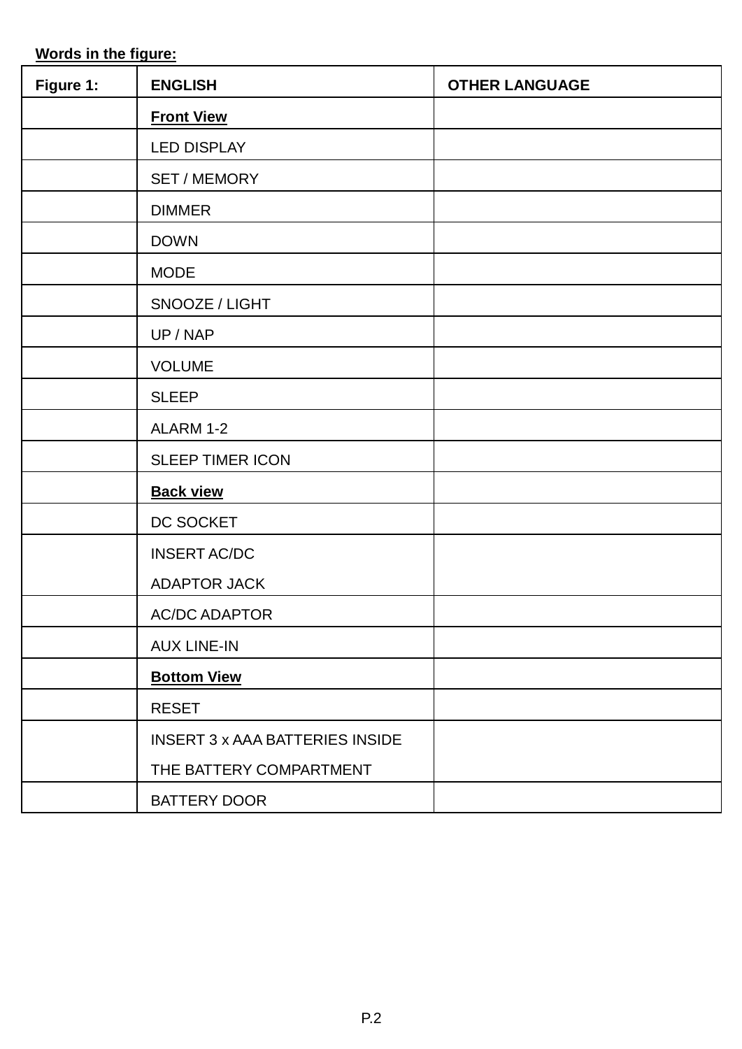**Words in the figure:**

| Figure 1: | <b>ENGLISH</b>                  | <b>OTHER LANGUAGE</b> |
|-----------|---------------------------------|-----------------------|
|           | <b>Front View</b>               |                       |
|           | <b>LED DISPLAY</b>              |                       |
|           | SET / MEMORY                    |                       |
|           | <b>DIMMER</b>                   |                       |
|           | <b>DOWN</b>                     |                       |
|           | <b>MODE</b>                     |                       |
|           | SNOOZE / LIGHT                  |                       |
|           | UP / NAP                        |                       |
|           | <b>VOLUME</b>                   |                       |
|           | <b>SLEEP</b>                    |                       |
|           | ALARM 1-2                       |                       |
|           | SLEEP TIMER ICON                |                       |
|           | <b>Back view</b>                |                       |
|           | DC SOCKET                       |                       |
|           | <b>INSERT AC/DC</b>             |                       |
|           | <b>ADAPTOR JACK</b>             |                       |
|           | <b>AC/DC ADAPTOR</b>            |                       |
|           | <b>AUX LINE-IN</b>              |                       |
|           | <b>Bottom View</b>              |                       |
|           | <b>RESET</b>                    |                       |
|           | INSERT 3 x AAA BATTERIES INSIDE |                       |
|           | THE BATTERY COMPARTMENT         |                       |
|           | <b>BATTERY DOOR</b>             |                       |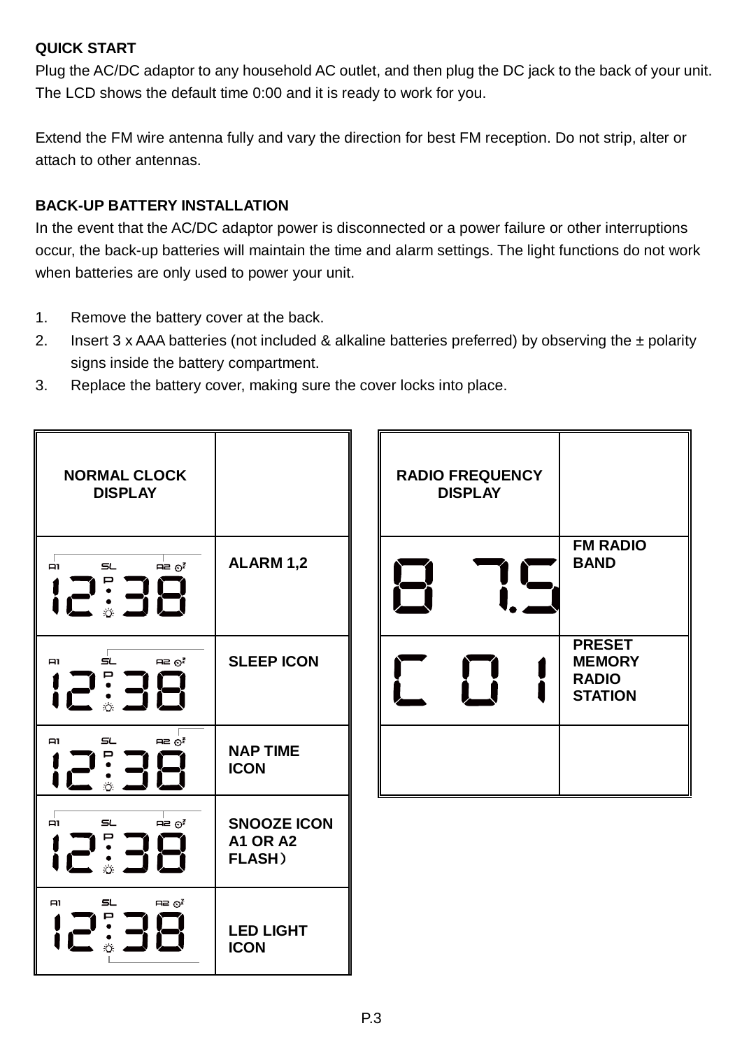### **QUICK START**

Plug the AC/DC adaptor to any household AC outlet, and then plug the DC jack to the back of your unit. The LCD shows the default time 0:00 and it is ready to work for you.

Extend the FM wire antenna fully and vary the direction for best FM reception. Do not strip, alter or attach to other antennas.

### **BACK-UP BATTERY INSTALLATION**

In the event that the AC/DC adaptor power is disconnected or a power failure or other interruptions occur, the back-up batteries will maintain the time and alarm settings. The light functions do not work when batteries are only used to power your unit.

- 1. Remove the battery cover at the back.
- 2. Insert 3 x AAA batteries (not included & alkaline batteries preferred) by observing the ± polarity signs inside the battery compartment.
- 3. Replace the battery cover, making sure the cover locks into place.



| <b>RADIO FREQUENCY</b><br><b>DISPLAY</b> |                                                                  |
|------------------------------------------|------------------------------------------------------------------|
|                                          | <b>FM RADIO</b><br><b>BAND</b>                                   |
|                                          | <b>PRESET</b><br><b>MEMORY</b><br><b>RADIO</b><br><b>STATION</b> |
|                                          |                                                                  |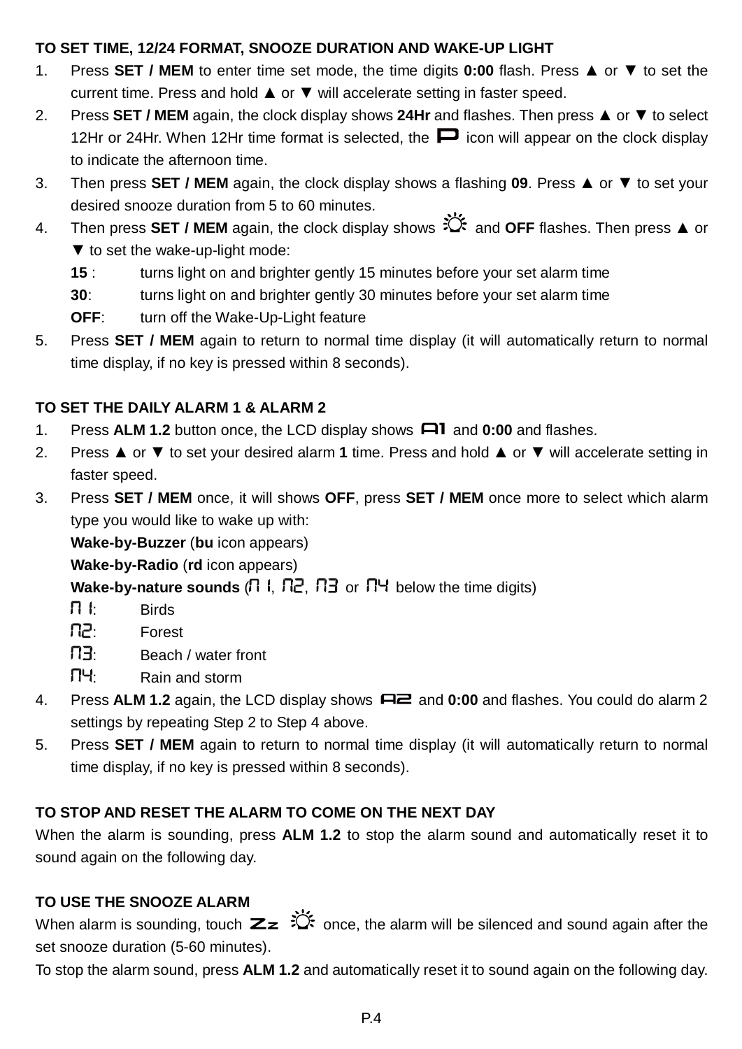### **TO SET TIME, 12/24 FORMAT, SNOOZE DURATION AND WAKE-UP LIGHT**

- 1. Press **SET / MEM** to enter time set mode, the time digits **0:00** flash. Press ▲ or ▼ to set the current time. Press and hold ▲ or ▼ will accelerate setting in faster speed.
- 2. Press **SET / MEM** again, the clock display shows **24Hr** and flashes. Then press ▲ or ▼ to select 12Hr or 24Hr. When 12Hr time format is selected, the  $\Box$  icon will appear on the clock display to indicate the afternoon time.
- 3. Then press **SET / MEM** again, the clock display shows a flashing **09**. Press ▲ or ▼ to set your desired snooze duration from 5 to 60 minutes.
- 4. Then press **SET / MEM** again, the clock display shows and **OFF** flashes. Then press ▲ or ▼ to set the wake-up-light mode:
	- **15** : turns light on and brighter gently 15 minutes before your set alarm time
	- **30** : turns light on and brighter gently 30 minutes before your set alarm time
	- **OFF**: turn off the Wake-Up-Light feature
- 5. Press **SET / MEM** again to return to normal time display (it will automatically return to normal time display, if no key is pressed within 8 seconds).

# **TO SET THE DAILY ALARM 1 & ALARM 2**

- 1. Press **ALM 1.2** button once, the LCD display shows **and 0:00** and flashes.
- 2. Press ▲ or ▼ to set your desired alarm **1** time. Press and hold ▲ or ▼ will accelerate setting in faster speed.
- 3. Press **SET / MEM** once, it will shows **OFF**, press **SET / MEM** once more to select which alarm type you would like to wake up with:

**Wake-by-Buzzer** (**bu** icon appears)

**Wake-by-Radio** (**rd** icon appears)

**Wake-by-nature sounds**  $(\Pi \cup \Pi \cup \Pi)$  or  $\Pi$ <sup>H</sup> below the time digits)

- $\Box \vdash$  Birds
- : Forest
- : Beach / water front
- : Rain and storm
- 4. Press **ALM 1.2** again, the LCD display shows and **0:00** and flashes. You could do alarm 2 settings by repeating Step 2 to Step 4 above.
- 5. Press **SET / MEM** again to return to normal time display (it will automatically return to normal time display, if no key is pressed within 8 seconds).

# **TO STOP AND RESET THE ALARM TO COME ON THE NEXT DAY**

When the alarm is sounding, press **ALM 1.2** to stop the alarm sound and automatically reset it to sound again on the following day.

# **TO USE THE SNOOZE ALARM**

When alarm is sounding, touch  $\sum z \stackrel{\longrightarrow}{\sim}$  once, the alarm will be silenced and sound again after the set snooze duration (5-60 minutes).

To stop the alarm sound, press **ALM 1.2** and automatically reset it to sound again on the following day.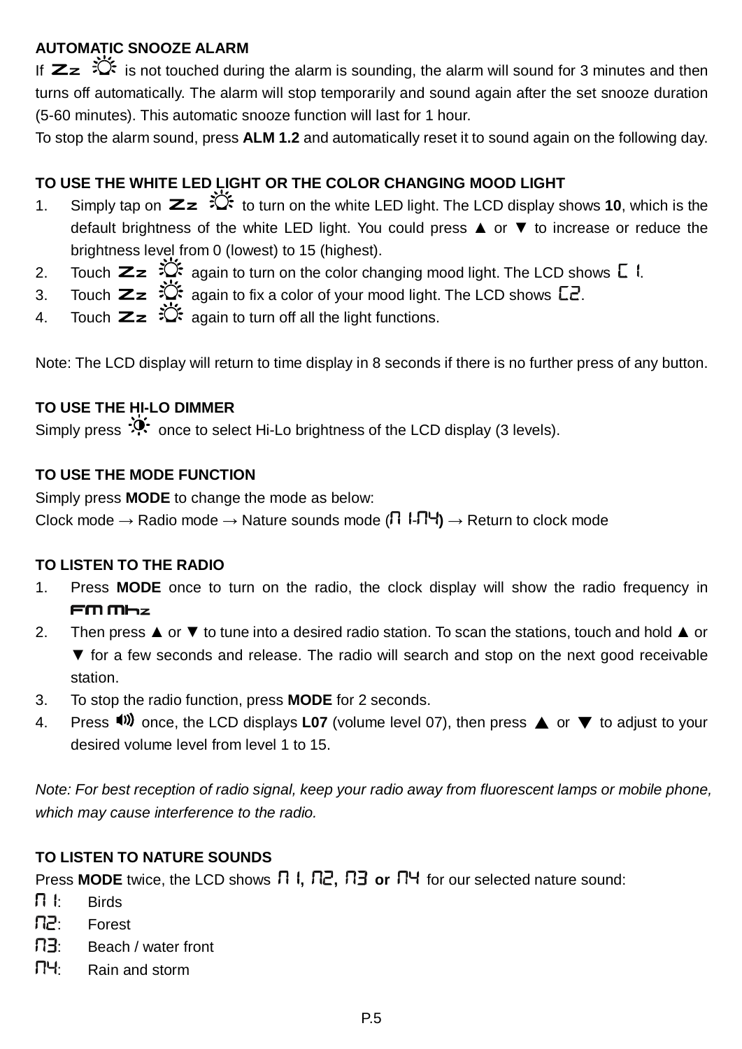# **AUTOMATIC SNOOZE ALARM**

If  $\mathbb{Z}$   $\mathbb{R}$  is not touched during the alarm is sounding, the alarm will sound for 3 minutes and then turns off automatically. The alarm will stop temporarily and sound again after the set snooze duration (5-60 minutes). This automatic snooze function will last for 1 hour.

To stop the alarm sound, press **ALM 1.2** and automatically reset it to sound again on the following day.

# **TO USE THE WHITE LED LIGHT OR THE COLOR CHANGING MOOD LIGHT**

- 1. Simply tap on  $Z_z \overset{\text{def}}{\leftrightarrow}$  to turn on the white LED light. The LCD display shows **10**, which is the default brightness of the white LED light. You could press ▲ or ▼ to increase or reduce the brightness level from 0 (lowest) to 15 (highest).
- 2. Touch  $\mathbb{Z}z \overset{\sim}{\sim}$  again to turn on the color changing mood light. The LCD shows  $\mathbb{Z}$  I.
- 3. Touch  $\mathbf{z}_z \overset{\sim}{\propto}$  again to fix a color of your mood light. The LCD shows  $\mathsf{L}$ .
- 4. Touch  $\mathbb{Z}z \stackrel{\leftrightarrow}{\leftrightarrow}$  again to turn off all the light functions.

Note: The LCD display will return to time display in 8 seconds if there is no further press of any button.

# **TO USE THE HI-LO DIMMER**

Simply press  $\ddot{\cdot}$  once to select Hi-Lo brightness of the LCD display (3 levels).

#### **TO USE THE MODE FUNCTION**

Simply press **MODE** to change the mode as below: Clock mode  $\rightarrow$  Radio mode  $\rightarrow$  Nature sounds mode ( $\Box$   $\Box$   $\Box$ )  $\rightarrow$  Return to clock mode

#### **TO LISTEN TO THE RADIO**

- 1. Press **MODE** once to turn on the radio, the clock display will show the radio frequency in  $F \mathsf{m} \mathsf{m}$ <sub>r</sub>
- 2. Then press ▲ or ▼ to tune into a desired radio station. To scan the stations, touch and hold ▲ or ▼ for a few seconds and release. The radio will search and stop on the next good receivable station.
- 3. To stop the radio function, press **MODE** for 2 seconds.
- 4. Press <sup>(iii</sup>) once, the LCD displays **L07** (volume level 07), then press **△** or ▼ to adjust to your desired volume level from level 1 to 15.

Note: For best reception of radio signal, keep your radio away from fluorescent lamps or mobile phone, which may cause interference to the radio.

#### **TO LISTEN TO NATURE SOUNDS**

Press **MODE** twice, the LCD shows  $\Box$  **1,**  $\Box$   $\Box$  **,**  $\Box$  or  $\Box$ <sup>H</sup> for our selected nature sound:

- $\prod \vdash$  Birds
- П2: Forest
- ПЗ: Beach / water front
- : Rain and storm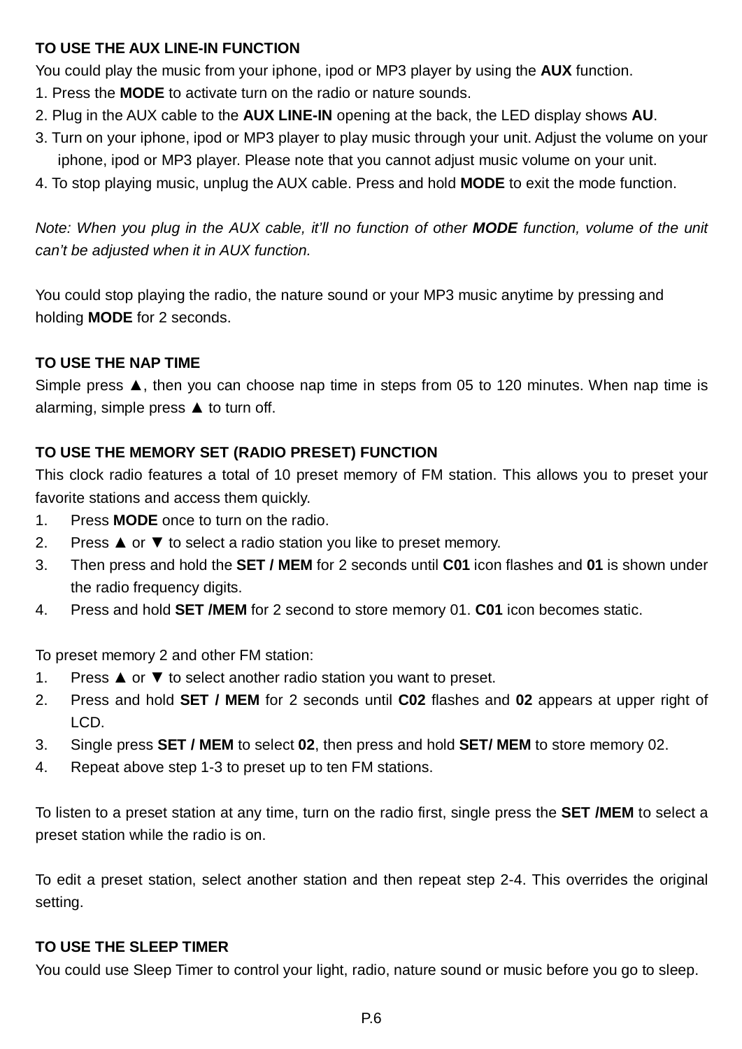### **TO USE THE AUX LINE-IN FUNCTION**

You could play the music from your iphone, ipod or MP3 player by using the **AUX** function.

- 1. Press the **MODE** to activate turn on the radio or nature sounds.
- 2. Plug in the AUX cable to the **AUX LINE-IN** opening at the back, the LED display shows **AU**.
- 3. Turn on your iphone, ipod or MP3 player to play music through your unit. Adjust the volume on your iphone, ipod or MP3 player. Please note that you cannot adjust music volume on your unit.
- 4. To stop playing music, unplug the AUX cable. Press and hold **MODE** to exit the mode function.

Note: When you plug in the AUX cable, it'll no function of other **MODE** function, volume of the unit can't be adjusted when it in AUX function.

You could stop playing the radio, the nature sound or your MP3 music anytime by pressing and holding **MODE** for 2 seconds.

# **TO USE THE NAP TIME**

Simple press  $\blacktriangle$ , then you can choose nap time in steps from 05 to 120 minutes. When nap time is alarming, simple press ▲ to turn off.

# **TO USE THE MEMORY SET (RADIO PRESET) FUNCTION**

This clock radio features a total of 10 preset memory of FM station. This allows you to preset your favorite stations and access them quickly.

- 1. Press **MODE** once to turn on the radio.
- 2. Press ▲ or ▼ to select a radio station you like to preset memory.
- 3. Then press and hold the **SET / MEM** for 2 seconds until **C01** icon flashes and **01** is shown under the radio frequency digits.
- 4. Press and hold **SET /MEM** for 2 second to store memory 01. **C01** icon becomes static.

To preset memory 2 and other FM station:

- 1. Press ▲ or ▼ to select another radio station you want to preset.
- 2. Press and hold **SET / MEM** for 2 seconds until **C02** flashes and **02** appears at upper right of LCD.
- 3. Single press **SET / MEM** to select **02**, then press and hold **SET/ MEM** to store memory 02.
- 4. Repeat above step 1-3 to preset up to ten FM stations.

To listen to a preset station at any time, turn on the radio first, single press the **SET /MEM** to select a preset station while the radio is on.

To edit a preset station, select another station and then repeat step 2-4. This overrides the original setting.

### **TO USE THE SLEEP TIMER**

You could use Sleep Timer to control your light, radio, nature sound or music before you go to sleep.